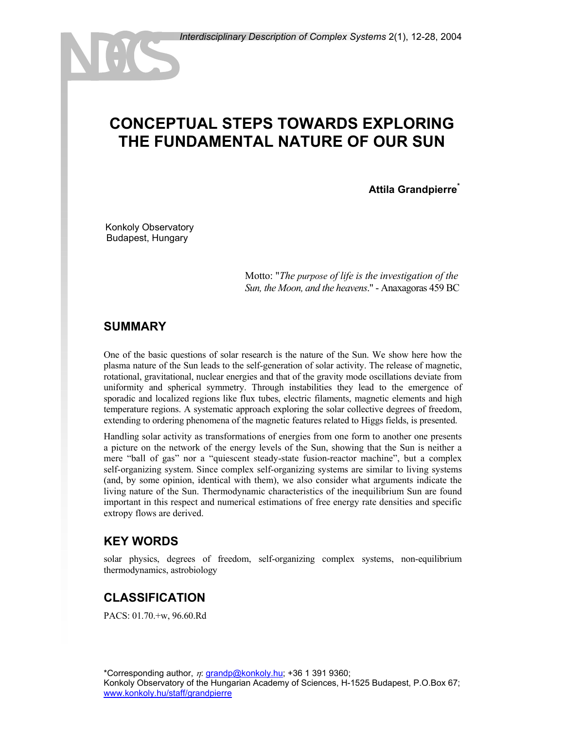# **CONCEPTUAL STEPS TOWARDS EXPLORING THE FUNDAMENTAL NATURE OF OUR SUN**

**Attila Grandpierre\***

Konkoly Observatory Budapest, Hungary

> Motto: "*The purpose of life is the investigation of the Sun, the Moon, and the heavens*." - Anaxagoras 459 BC

#### **SUMMARY**

One of the basic questions of solar research is the nature of the Sun. We show here how the plasma nature of the Sun leads to the self-generation of solar activity. The release of magnetic, rotational, gravitational, nuclear energies and that of the gravity mode oscillations deviate from uniformity and spherical symmetry. Through instabilities they lead to the emergence of sporadic and localized regions like flux tubes, electric filaments, magnetic elements and high temperature regions. A systematic approach exploring the solar collective degrees of freedom, extending to ordering phenomena of the magnetic features related to Higgs fields, is presented.

Handling solar activity as transformations of energies from one form to another one presents a picture on the network of the energy levels of the Sun, showing that the Sun is neither a mere "ball of gas" nor a "quiescent steady-state fusion-reactor machine", but a complex self-organizing system. Since complex self-organizing systems are similar to living systems (and, by some opinion, identical with them), we also consider what arguments indicate the living nature of the Sun. Thermodynamic characteristics of the inequilibrium Sun are found important in this respect and numerical estimations of free energy rate densities and specific extropy flows are derived.

#### **KEY WORDS**

solar physics, degrees of freedom, self-organizing complex systems, non-equilibrium thermodynamics, astrobiology

## **CLASSIFICATION**

PACS: 01.70.+w, 96.60.Rd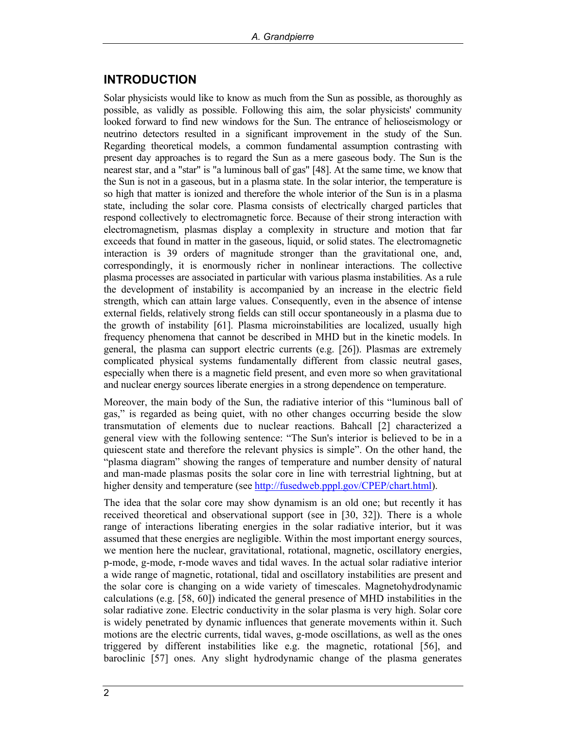#### **INTRODUCTION**

Solar physicists would like to know as much from the Sun as possible, as thoroughly as possible, as validly as possible. Following this aim, the solar physicists' community looked forward to find new windows for the Sun. The entrance of helioseismology or neutrino detectors resulted in a significant improvement in the study of the Sun. Regarding theoretical models, a common fundamental assumption contrasting with present day approaches is to regard the Sun as a mere gaseous body. The Sun is the nearest star, and a "star" is "a luminous ball of gas" [48]. At the same time, we know that the Sun is not in a gaseous, but in a plasma state. In the solar interior, the temperature is so high that matter is ionized and therefore the whole interior of the Sun is in a plasma state, including the solar core. Plasma consists of electrically charged particles that respond collectively to electromagnetic force. Because of their strong interaction with electromagnetism, plasmas display a complexity in structure and motion that far exceeds that found in matter in the gaseous, liquid, or solid states. The electromagnetic interaction is 39 orders of magnitude stronger than the gravitational one, and, correspondingly, it is enormously richer in nonlinear interactions. The collective plasma processes are associated in particular with various plasma instabilities. As a rule the development of instability is accompanied by an increase in the electric field strength, which can attain large values. Consequently, even in the absence of intense external fields, relatively strong fields can still occur spontaneously in a plasma due to the growth of instability [61]. Plasma microinstabilities are localized, usually high frequency phenomena that cannot be described in MHD but in the kinetic models. In general, the plasma can support electric currents  $(e.g. [26])$ . Plasmas are extremely complicated physical systems fundamentally different from classic neutral gases, especially when there is a magnetic field present, and even more so when gravitational and nuclear energy sources liberate energies in a strong dependence on temperature.

Moreover, the main body of the Sun, the radiative interior of this "luminous ball of gas," is regarded as being quiet, with no other changes occurring beside the slow transmutation of elements due to nuclear reactions. Bahcall [2] characterized a general view with the following sentence: "The Sun's interior is believed to be in a quiescent state and therefore the relevant physics is simple". On the other hand, the "plasma diagram" showing the ranges of temperature and number density of natural and man-made plasmas posits the solar core in line with terrestrial lightning, but at higher density and temperature (see [http://fusedweb.pppl.gov/CPEP/chart.htm](http://fusedweb.pppl.gov/CPEP/chart.html)l).

The idea that the solar core may show dynamism is an old one; but recently it has received theoretical and observational support (see in [30, 32]). There is a whole range of interactions liberating energies in the solar radiative interior, but it was assumed that these energies are negligible. Within the most important energy sources, we mention here the nuclear, gravitational, rotational, magnetic, oscillatory energies, p-mode, g-mode, r-mode waves and tidal waves. In the actual solar radiative interior a wide range of magnetic, rotational, tidal and oscillatory instabilities are present and the solar core is changing on a wide variety of timescales. Magnetohydrodynamic calculations (e.g. [58, 60]) indicated the general presence of MHD instabilities in the solar radiative zone. Electric conductivity in the solar plasma is very high. Solar core is widely penetrated by dynamic influences that generate movements within it. Such motions are the electric currents, tidal waves, g-mode oscillations, as well as the ones triggered by different instabilities like e.g. the magnetic, rotational [56], and baroclinic [57] ones. Any slight hydrodynamic change of the plasma generates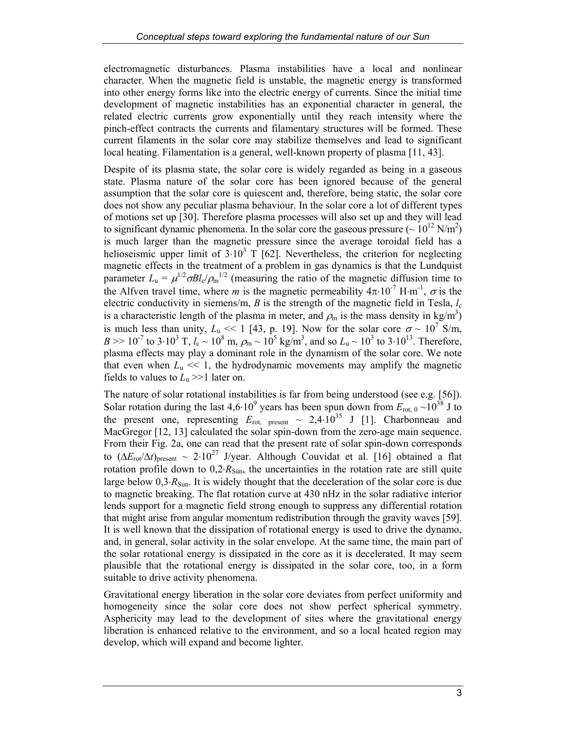electromagnetic disturbances. Plasma instabilities have a local and nonlinear character. When the magnetic field is unstable, the magnetic energy is transformed into other energy forms like into the electric energy of currents. Since the initial time development of magnetic instabilities has an exponential character in general, the related electric currents grow exponentially until they reach intensity where the pinch-effect contracts the currents and filamentary structures will be formed. These current filaments in the solar core may stabilize themselves and lead to significant local heating. Filamentation is a general, well-known property of plasma [11, 43].

Despite of its plasma state, the solar core is widely regarded as being in a gaseous state. Plasma nature of the solar core has been ignored because of the general assumption that the solar core is quiescent and, therefore, being static, the solar core does not show any peculiar plasma behaviour. In the solar core a lot of different types of motions set up [30]. Therefore plasma processes will also set up and they will lead to significant dynamic phenomena. In the solar core the gaseous pressure ( $\sim 10^{12}$  N/m<sup>2</sup>) is much larger than the magnetic pressure since the average toroidal field has a helioseismic upper limit of  $3.10^3$  T [62]. Nevertheless, the criterion for neglecting magnetic effects in the treatment of a problem in gas dynamics is that the Lundquist parameter  $L_{\rm u} = \mu^{1/2} \sigma B l_{\rm v} / \rho_{\rm m}^{1/2}$  (measuring the ratio of the magnetic diffusion time to the Alfven travel time, where *m* is the magnetic permeability  $4\pi \cdot 10^{-7}$  H⋅m<sup>-1</sup>,  $\sigma$  is the electric conductivity in siemens/m, *B* is the strength of the magnetic field in Tesla, *l*<sup>c</sup> is a characteristic length of the plasma in meter, and  $\rho_m$  is the mass density in kg/m<sup>3</sup>) is much less than unity,  $L_u \ll 1$  [43, p. 19]. Now for the solar core  $\sigma \sim 10^7$  S/m,  $B \gg 10^{-7}$  to 3⋅10<sup>3</sup> T,  $l_c \sim 10^8$  m,  $\rho_m \sim 10^5$  kg/m<sup>3</sup>, and so  $L_u \sim 10^3$  to 3⋅10<sup>13</sup>. Therefore, plasma effects may play a dominant role in the dynamism of the solar core. We note that even when  $L<sub>u</sub> \ll 1$ , the hydrodynamic movements may amplify the magnetic fields to values to  $L<sub>u</sub> >> 1$  later on.

The nature of solar rotational instabilities is far from being understood (see e.g. [56]). Solar rotation during the last  $4.6 \cdot 10^9$  years has been spun down from  $E_{\text{rot, 0}} \sim 10^{38}$  J to the present one, representing  $E_{\text{rot}}$  present ~ 2,4⋅10<sup>35</sup> J [1]. Charbonneau and MacGregor [12, 13] calculated the solar spin-down from the zero-age main sequence. From their Fig. 2a, one can read that the present rate of solar spin-down corresponds to  $(\Delta E_{\text{rot}}/\Delta t)_{\text{present}} \sim 2.10^{27}$  J/year. Although Couvidat et al. [16] obtained a flat rotation profile down to  $0,2 \cdot R_{Sun}$ , the uncertainties in the rotation rate are still quite large below 0,3⋅*R*<sub>Sun</sub>. It is widely thought that the deceleration of the solar core is due to magnetic breaking. The flat rotation curve at 430 nHz in the solar radiative interior lends support for a magnetic field strong enough to suppress any differential rotation that might arise from angular momentum redistribution through the gravity waves [59]. It is well known that the dissipation of rotational energy is used to drive the dynamo, and, in general, solar activity in the solar envelope. At the same time, the main part of the solar rotational energy is dissipated in the core as it is decelerated. It may seem plausible that the rotational energy is dissipated in the solar core, too, in a form suitable to drive activity phenomena.

Gravitational energy liberation in the solar core deviates from perfect uniformity and homogeneity since the solar core does not show perfect spherical symmetry. Asphericity may lead to the development of sites where the gravitational energy liberation is enhanced relative to the environment, and so a local heated region may develop, which will expand and become lighter.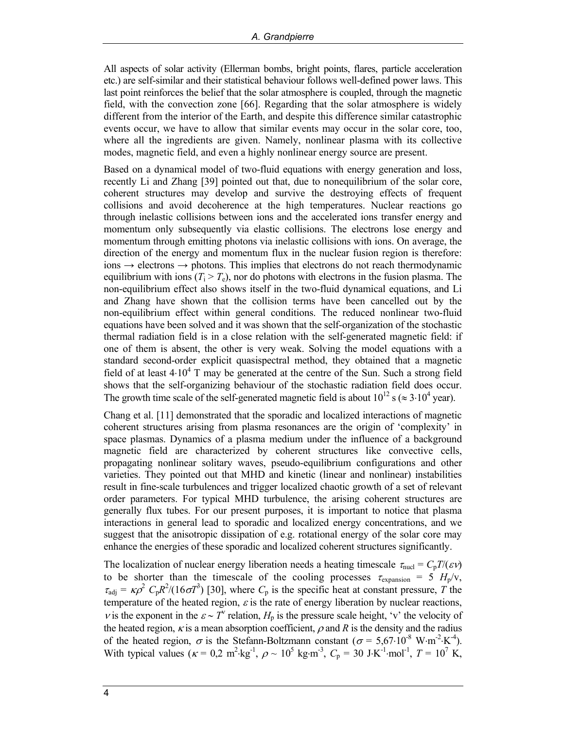All aspects of solar activity (Ellerman bombs, bright points, flares, particle acceleration etc.) are self-similar and their statistical behaviour follows well-defined power laws. This last point reinforces the belief that the solar atmosphere is coupled, through the magnetic field, with the convection zone [66]. Regarding that the solar atmosphere is widely different from the interior of the Earth, and despite this difference similar catastrophic events occur, we have to allow that similar events may occur in the solar core, too, where all the ingredients are given. Namely, nonlinear plasma with its collective modes, magnetic field, and even a highly nonlinear energy source are present.

Based on a dynamical model of two-fluid equations with energy generation and loss, recently Li and Zhang [39] pointed out that, due to nonequilibrium of the solar core, coherent structures may develop and survive the destroying effects of frequent collisions and avoid decoherence at the high temperatures. Nuclear reactions go through inelastic collisions between ions and the accelerated ions transfer energy and momentum only subsequently via elastic collisions. The electrons lose energy and momentum through emitting photons via inelastic collisions with ions. On average, the direction of the energy and momentum flux in the nuclear fusion region is therefore:  $\phi$  ions  $\rightarrow$  electrons  $\rightarrow$  photons. This implies that electrons do not reach thermodynamic equilibrium with ions  $(T_i > T_e)$ , nor do photons with electrons in the fusion plasma. The non-equilibrium effect also shows itself in the two-fluid dynamical equations, and Li and Zhang have shown that the collision terms have been cancelled out by the non-equilibrium effect within general conditions. The reduced nonlinear two-fluid equations have been solved and it was shown that the self-organization of the stochastic thermal radiation field is in a close relation with the self-generated magnetic field: if one of them is absent, the other is very weak. Solving the model equations with a standard second-order explicit quasispectral method, they obtained that a magnetic field of at least  $4·10<sup>4</sup>$  T may be generated at the centre of the Sun. Such a strong field shows that the self-organizing behaviour of the stochastic radiation field does occur. The growth time scale of the self-generated magnetic field is about  $10^{12}$  s ( $\approx 3.10^4$  year).

Chang et al. [11] demonstrated that the sporadic and localized interactions of magnetic coherent structures arising from plasma resonances are the origin of 'complexity' in space plasmas. Dynamics of a plasma medium under the influence of a background magnetic field are characterized by coherent structures like convective cells, propagating nonlinear solitary waves, pseudo-equilibrium configurations and other varieties. They pointed out that MHD and kinetic (linear and nonlinear) instabilities result in fine-scale turbulences and trigger localized chaotic growth of a set of relevant order parameters. For typical MHD turbulence, the arising coherent structures are generally flux tubes. For our present purposes, it is important to notice that plasma interactions in general lead to sporadic and localized energy concentrations, and we suggest that the anisotropic dissipation of e.g. rotational energy of the solar core may enhance the energies of these sporadic and localized coherent structures significantly.

The localization of nuclear energy liberation needs a heating timescale  $\tau_{\text{nucl}} = C_p T/(\varepsilon \nu)$ to be shorter than the timescale of the cooling processes  $\tau_{expansion} = 5 H_p/v$ ,  $\tau_{\text{adj}} = \kappa \rho^2 C_p R^2 / (16 \sigma T^3)$  [30], where  $C_p$  is the specific heat at constant pressure, *T* the temperature of the heated region,  $\varepsilon$  is the rate of energy liberation by nuclear reactions, *v* is the exponent in the  $\varepsilon \sim T^{\nu}$  relation,  $H_p$  is the pressure scale height, 'v' the velocity of the heated region,  $\kappa$  is a mean absorption coefficient,  $\rho$  and R is the density and the radius of the heated region,  $\sigma$  is the Stefann-Boltzmann constant ( $\sigma = 5.67 \cdot 10^{-8}$  W⋅m<sup>-2</sup>⋅K<sup>-4</sup>). With typical values ( $\kappa = 0.2 \text{ m}^2 \cdot \text{kg}^{-1}$ ,  $\rho \sim 10^5 \text{ kg} \cdot \text{m}^{-3}$ ,  $C_p = 30 \text{ J} \cdot \text{K}^{-1} \cdot \text{mol}^{-1}$ ,  $T = 10^7 \text{ K}$ ,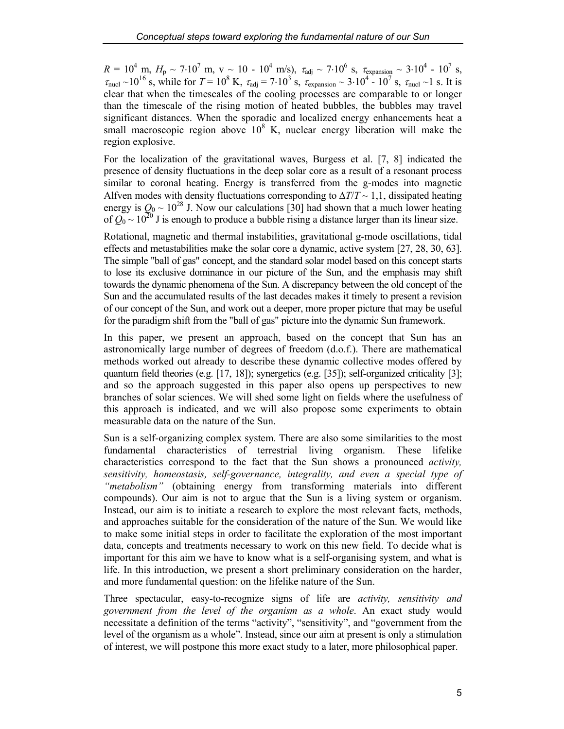$R = 10^4$  m,  $H_p \sim 7.10^7$  m, v ~ 10 - 10<sup>4</sup> m/s),  $\tau_{\text{adj}} \sim 7.10^6$  s,  $\tau_{\text{expansion}} \sim 3.10^4$  - 10<sup>7</sup> s,  $\tau_{\text{nucl}} \sim 10^{16}$  s, while for  $T = 10^8$  K,  $\tau_{\text{adj}} = 7.10^3$  s,  $\tau_{\text{expansion}} \sim 3.10^4$  -  $10^7$  s,  $\tau_{\text{nucl}} \sim 1$  s. It is clear that when the timescales of the cooling processes are comparable to or longer than the timescale of the rising motion of heated bubbles, the bubbles may travel significant distances. When the sporadic and localized energy enhancements heat a small macroscopic region above  $10^8$  K, nuclear energy liberation will make the region explosive.

For the localization of the gravitational waves, Burgess et al. [7, 8] indicated the presence of density fluctuations in the deep solar core as a result of a resonant process similar to coronal heating. Energy is transferred from the g-modes into magnetic Alfven modes with density fluctuations corresponding to ∆*T*/*T* ~ 1,1, dissipated heating energy is  $Q_0 \sim 10^{28}$  J. Now our calculations [30] had shown that a much lower heating of  $Q_0 \sim 10^{20}$  J is enough to produce a bubble rising a distance larger than its linear size.

Rotational, magnetic and thermal instabilities, gravitational g-mode oscillations, tidal effects and metastabilities make the solar core a dynamic, active system [27, 28, 30, 63]. The simple "ball of gas" concept, and the standard solar model based on this concept starts to lose its exclusive dominance in our picture of the Sun, and the emphasis may shift towards the dynamic phenomena of the Sun. A discrepancy between the old concept of the Sun and the accumulated results of the last decades makes it timely to present a revision of our concept of the Sun, and work out a deeper, more proper picture that may be useful for the paradigm shift from the "ball of gas" picture into the dynamic Sun framework.

In this paper, we present an approach, based on the concept that Sun has an astronomically large number of degrees of freedom (d.o.f.). There are mathematical methods worked out already to describe these dynamic collective modes offered by quantum field theories (e.g. [17, 18]); synergetics (e.g. [35]); self-organized criticality [3]; and so the approach suggested in this paper also opens up perspectives to new branches of solar sciences. We will shed some light on fields where the usefulness of this approach is indicated, and we will also propose some experiments to obtain measurable data on the nature of the Sun.

Sun is a self-organizing complex system. There are also some similarities to the most fundamental characteristics of terrestrial living organism. These lifelike characteristics correspond to the fact that the Sun shows a pronounced *activity, sensitivity, homeostasis, self-governance, integrality, and even a special type of "metabolism"* (obtaining energy from transforming materials into different compounds). Our aim is not to argue that the Sun is a living system or organism. Instead, our aim is to initiate a research to explore the most relevant facts, methods, and approaches suitable for the consideration of the nature of the Sun. We would like to make some initial steps in order to facilitate the exploration of the most important data, concepts and treatments necessary to work on this new field. To decide what is important for this aim we have to know what is a self-organising system, and what is life. In this introduction, we present a short preliminary consideration on the harder, and more fundamental question: on the lifelike nature of the Sun.

Three spectacular, easy-to-recognize signs of life are *activity, sensitivity and government from the level of the organism as a whole*. An exact study would necessitate a definition of the terms "activity", "sensitivity", and "government from the level of the organism as a whole". Instead, since our aim at present is only a stimulation of interest, we will postpone this more exact study to a later, more philosophical paper.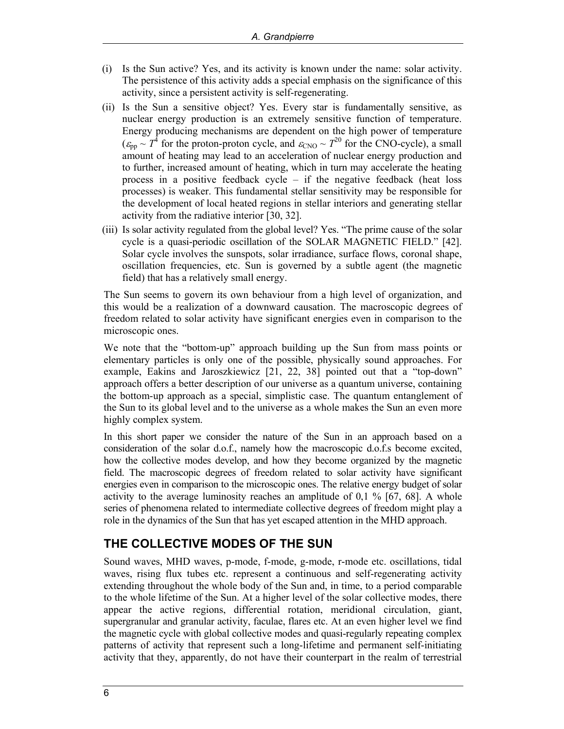- (i) Is the Sun active? Yes, and its activity is known under the name: solar activity. The persistence of this activity adds a special emphasis on the significance of this activity, since a persistent activity is self-regenerating.
- (ii) Is the Sun a sensitive object? Yes. Every star is fundamentally sensitive, as nuclear energy production is an extremely sensitive function of temperature. Energy producing mechanisms are dependent on the high power of temperature  $(\varepsilon_{\text{pp}} \sim T^4$  for the proton-proton cycle, and  $\varepsilon_{\text{CNO}} \sim T^{20}$  for the CNO-cycle), a small amount of heating may lead to an acceleration of nuclear energy production and to further, increased amount of heating, which in turn may accelerate the heating process in a positive feedback cycle – if the negative feedback (heat loss processes) is weaker. This fundamental stellar sensitivity may be responsible for the development of local heated regions in stellar interiors and generating stellar activity from the radiative interior [30, 32].
- (iii) Is solar activity regulated from the global level? Yes. "The prime cause of the solar cycle is a quasi-periodic oscillation of the SOLAR MAGNETIC FIELD." [42]. Solar cycle involves the sunspots, solar irradiance, surface flows, coronal shape, oscillation frequencies, etc. Sun is governed by a subtle agent (the magnetic field) that has a relatively small energy.

The Sun seems to govern its own behaviour from a high level of organization, and this would be a realization of a downward causation. The macroscopic degrees of freedom related to solar activity have significant energies even in comparison to the microscopic ones.

We note that the "bottom-up" approach building up the Sun from mass points or elementary particles is only one of the possible, physically sound approaches. For example, Eakins and Jaroszkiewicz [21, 22, 38] pointed out that a "top-down" approach offers a better description of our universe as a quantum universe, containing the bottom-up approach as a special, simplistic case. The quantum entanglement of the Sun to its global level and to the universe as a whole makes the Sun an even more highly complex system.

In this short paper we consider the nature of the Sun in an approach based on a consideration of the solar d.o.f., namely how the macroscopic d.o.f.s become excited, how the collective modes develop, and how they become organized by the magnetic field. The macroscopic degrees of freedom related to solar activity have significant energies even in comparison to the microscopic ones. The relative energy budget of solar activity to the average luminosity reaches an amplitude of  $0,1\%$  [67, 68]. A whole series of phenomena related to intermediate collective degrees of freedom might play a role in the dynamics of the Sun that has yet escaped attention in the MHD approach.

## **THE COLLECTIVE MODES OF THE SUN**

Sound waves, MHD waves, p-mode, f-mode, g-mode, r-mode etc. oscillations, tidal waves, rising flux tubes etc. represent a continuous and self-regenerating activity extending throughout the whole body of the Sun and, in time, to a period comparable to the whole lifetime of the Sun. At a higher level of the solar collective modes, there appear the active regions, differential rotation, meridional circulation, giant, supergranular and granular activity, faculae, flares etc. At an even higher level we find the magnetic cycle with global collective modes and quasi-regularly repeating complex patterns of activity that represent such a long-lifetime and permanent self-initiating activity that they, apparently, do not have their counterpart in the realm of terrestrial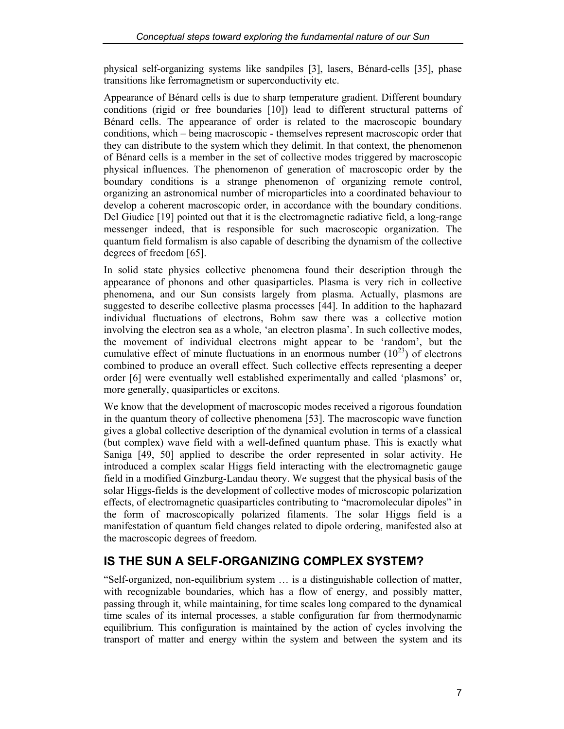physical self-organizing systems like sandpiles [3], lasers, Bénard-cells [35], phase transitions like ferromagnetism or superconductivity etc.

Appearance of Bénard cells is due to sharp temperature gradient. Different boundary conditions (rigid or free boundaries [10]) lead to different structural patterns of Bénard cells. The appearance of order is related to the macroscopic boundary conditions, which – being macroscopic - themselves represent macroscopic order that they can distribute to the system which they delimit. In that context, the phenomenon of Bénard cells is a member in the set of collective modes triggered by macroscopic physical influences. The phenomenon of generation of macroscopic order by the boundary conditions is a strange phenomenon of organizing remote control, organizing an astronomical number of microparticles into a coordinated behaviour to develop a coherent macroscopic order, in accordance with the boundary conditions. Del Giudice [19] pointed out that it is the electromagnetic radiative field, a long-range messenger indeed, that is responsible for such macroscopic organization. The quantum field formalism is also capable of describing the dynamism of the collective degrees of freedom [65].

In solid state physics collective phenomena found their description through the appearance of phonons and other quasiparticles. Plasma is very rich in collective phenomena, and our Sun consists largely from plasma. Actually, plasmons are suggested to describe collective plasma processes [44]. In addition to the haphazard individual fluctuations of electrons, Bohm saw there was a collective motion involving the electron sea as a whole, 'an electron plasma'. In such collective modes, the movement of individual electrons might appear to be 'random', but the cumulative effect of minute fluctuations in an enormous number  $(10^{23})$  of electrons combined to produce an overall effect. Such collective effects representing a deeper order [6] were eventually well established experimentally and called 'plasmons' or, more generally, quasiparticles or excitons.

We know that the development of macroscopic modes received a rigorous foundation in the quantum theory of collective phenomena [53]. The macroscopic wave function gives a global collective description of the dynamical evolution in terms of a classical (but complex) wave field with a well-defined quantum phase. This is exactly what Saniga [49, 50] applied to describe the order represented in solar activity. He introduced a complex scalar Higgs field interacting with the electromagnetic gauge field in a modified Ginzburg-Landau theory. We suggest that the physical basis of the solar Higgs-fields is the development of collective modes of microscopic polarization effects, of electromagnetic quasiparticles contributing to "macromolecular dipoles" in the form of macroscopically polarized filaments. The solar Higgs field is a manifestation of quantum field changes related to dipole ordering, manifested also at the macroscopic degrees of freedom.

# **IS THE SUN A SELF-ORGANIZING COMPLEX SYSTEM?**

"Self-organized, non-equilibrium system … is a distinguishable collection of matter, with recognizable boundaries, which has a flow of energy, and possibly matter, passing through it, while maintaining, for time scales long compared to the dynamical time scales of its internal processes, a stable configuration far from thermodynamic equilibrium. This configuration is maintained by the action of cycles involving the transport of matter and energy within the system and between the system and its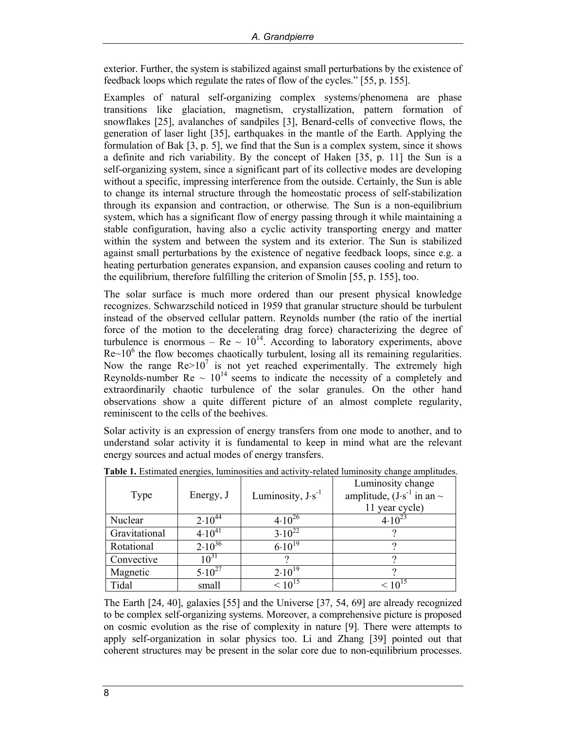exterior. Further, the system is stabilized against small perturbations by the existence of feedback loops which regulate the rates of flow of the cycles." [55, p. 155].

Examples of natural self-organizing complex systems/phenomena are phase transitions like glaciation, magnetism, crystallization, pattern formation of snowflakes [25], avalanches of sandpiles [3], Benard-cells of convective flows, the generation of laser light [35], earthquakes in the mantle of the Earth. Applying the formulation of Bak [3, p. 5], we find that the Sun is a complex system, since it shows a definite and rich variability. By the concept of Haken [35, p. 11] the Sun is a self-organizing system, since a significant part of its collective modes are developing without a specific, impressing interference from the outside. Certainly, the Sun is able to change its internal structure through the homeostatic process of self-stabilization through its expansion and contraction, or otherwise. The Sun is a non-equilibrium system, which has a significant flow of energy passing through it while maintaining a stable configuration, having also a cyclic activity transporting energy and matter within the system and between the system and its exterior. The Sun is stabilized against small perturbations by the existence of negative feedback loops, since e.g. a heating perturbation generates expansion, and expansion causes cooling and return to the equilibrium, therefore fulfilling the criterion of Smolin [55, p. 155], too.

The solar surface is much more ordered than our present physical knowledge recognizes. Schwarzschild noticed in 1959 that granular structure should be turbulent instead of the observed cellular pattern. Reynolds number (the ratio of the inertial force of the motion to the decelerating drag force) characterizing the degree of turbulence is enormous –  $Re \sim 10^{14}$ . According to laboratory experiments, above  $Re~10<sup>6</sup>$  the flow becomes chaotically turbulent, losing all its remaining regularities. Now the range  $\text{Re} > 10^7$  is not yet reached experimentally. The extremely high Reynolds-number  $\text{Re} \sim 10^{14}$  seems to indicate the necessity of a completely and extraordinarily chaotic turbulence of the solar granules. On the other hand observations show a quite different picture of an almost complete regularity, reminiscent to the cells of the beehives.

Solar activity is an expression of energy transfers from one mode to another, and to understand solar activity it is fundamental to keep in mind what are the relevant energy sources and actual modes of energy transfers.

| Type          | Energy, J   | Luminosity, $J·s^{-1}$ | Luminosity change<br>amplitude, $(J \cdot s^{-1})$ in an $\sim$<br>11 year cycle) |
|---------------|-------------|------------------------|-----------------------------------------------------------------------------------|
| Nuclear       | $2.10^{44}$ | $4.10^{26}$            | $4.10^{23}$                                                                       |
| Gravitational | $4.10^{41}$ | $3.10^{22}$            |                                                                                   |
| Rotational    | $2.10^{36}$ | $6.10^{19}$            |                                                                                   |
| Convective    | $10^{31}$   |                        |                                                                                   |
| Magnetic      | $5.10^{27}$ | $2.10^{19}$            |                                                                                   |
| Tidal         | small       | $< 10^{15}$            | $< 10^{13}$                                                                       |

**Table 1.** Estimated energies, luminosities and activity-related luminosity change amplitudes.

The Earth [24, 40], galaxies [55] and the Universe [37, 54, 69] are already recognized to be complex self-organizing systems. Moreover, a comprehensive picture is proposed on cosmic evolution as the rise of complexity in nature [9]. There were attempts to apply self-organization in solar physics too. Li and Zhang [39] pointed out that coherent structures may be present in the solar core due to non-equilibrium processes.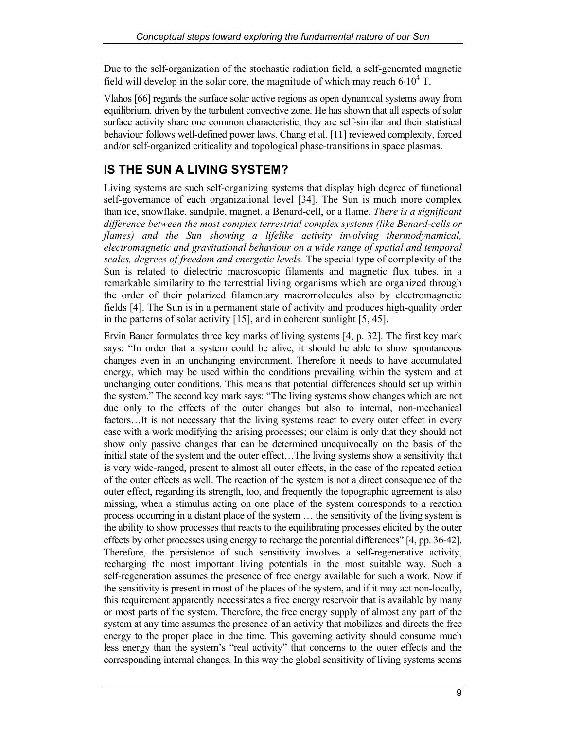Due to the self-organization of the stochastic radiation field, a self-generated magnetic field will develop in the solar core, the magnitude of which may reach  $6·10<sup>4</sup>$  T.

Vlahos [66] regards the surface solar active regions as open dynamical systems away from equilibrium, driven by the turbulent convective zone. He has shown that all aspects of solar surface activity share one common characteristic, they are self-similar and their statistical behaviour follows well-defined power laws. Chang et al. [11] reviewed complexity, forced and/or self-organized criticality and topological phase-transitions in space plasmas.

# **IS THE SUN A LIVING SYSTEM?**

Living systems are such self-organizing systems that display high degree of functional self-governance of each organizational level [34]. The Sun is much more complex than ice, snowflake, sandpile, magnet, a Benard-cell, or a flame. *There is a significant difference between the most complex terrestrial complex systems (like Benard-cells or flames) and the Sun showing a lifelike activity involving thermodynamical, electromagnetic and gravitational behaviour on a wide range of spatial and temporal scales, degrees of freedom and energetic levels.* The special type of complexity of the Sun is related to dielectric macroscopic filaments and magnetic flux tubes, in a remarkable similarity to the terrestrial living organisms which are organized through the order of their polarized filamentary macromolecules also by electromagnetic fields [4]. The Sun is in a permanent state of activity and produces high-quality order in the patterns of solar activity [15], and in coherent sunlight [5, 45].

Ervin Bauer formulates three key marks of living systems [4, p. 32]. The first key mark says: "In order that a system could be alive, it should be able to show spontaneous changes even in an unchanging environment. Therefore it needs to have accumulated energy, which may be used within the conditions prevailing within the system and at unchanging outer conditions. This means that potential differences should set up within the system." The second key mark says: "The living systems show changes which are not due only to the effects of the outer changes but also to internal, non-mechanical factors...It is not necessary that the living systems react to every outer effect in every case with a work modifying the arising processes; our claim is only that they should not show only passive changes that can be determined unequivocally on the basis of the initial state of the system and the outer effect…The living systems show a sensitivity that is very wide-ranged, present to almost all outer effects, in the case of the repeated action of the outer effects as well. The reaction of the system is not a direct consequence of the outer effect, regarding its strength, too, and frequently the topographic agreement is also missing, when a stimulus acting on one place of the system corresponds to a reaction process occurring in a distant place of the system … the sensitivity of the living system is the ability to show processes that reacts to the equilibrating processes elicited by the outer effects by other processes using energy to recharge the potential differences" [4, pp. 36-42]. Therefore, the persistence of such sensitivity involves a self-regenerative activity, recharging the most important living potentials in the most suitable way. Such a self-regeneration assumes the presence of free energy available for such a work. Now if the sensitivity is present in most of the places of the system, and if it may act non-locally, this requirement apparently necessitates a free energy reservoir that is available by many or most parts of the system. Therefore, the free energy supply of almost any part of the system at any time assumes the presence of an activity that mobilizes and directs the free energy to the proper place in due time. This governing activity should consume much less energy than the system's "real activity" that concerns to the outer effects and the corresponding internal changes. In this way the global sensitivity of living systems seems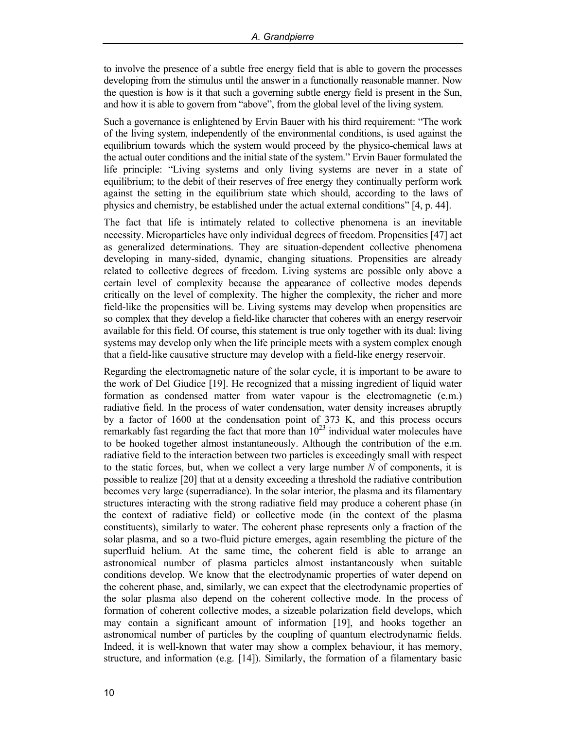to involve the presence of a subtle free energy field that is able to govern the processes developing from the stimulus until the answer in a functionally reasonable manner. Now the question is how is it that such a governing subtle energy field is present in the Sun, and how it is able to govern from "above", from the global level of the living system.

Such a governance is enlightened by Ervin Bauer with his third requirement: "The work of the living system, independently of the environmental conditions, is used against the equilibrium towards which the system would proceed by the physico-chemical laws at the actual outer conditions and the initial state of the system." Ervin Bauer formulated the life principle: "Living systems and only living systems are never in a state of equilibrium; to the debit of their reserves of free energy they continually perform work against the setting in the equilibrium state which should, according to the laws of physics and chemistry, be established under the actual external conditions" [4, p. 44].

The fact that life is intimately related to collective phenomena is an inevitable necessity. Microparticles have only individual degrees of freedom. Propensities [47] act as generalized determinations. They are situation-dependent collective phenomena developing in many-sided, dynamic, changing situations. Propensities are already related to collective degrees of freedom. Living systems are possible only above a certain level of complexity because the appearance of collective modes depends critically on the level of complexity. The higher the complexity, the richer and more field-like the propensities will be. Living systems may develop when propensities are so complex that they develop a field-like character that coheres with an energy reservoir available for this field. Of course, this statement is true only together with its dual: living systems may develop only when the life principle meets with a system complex enough that a field-like causative structure may develop with a field-like energy reservoir.

Regarding the electromagnetic nature of the solar cycle, it is important to be aware to the work of Del Giudice [19]. He recognized that a missing ingredient of liquid water formation as condensed matter from water vapour is the electromagnetic (e.m.) radiative field. In the process of water condensation, water density increases abruptly by a factor of 1600 at the condensation point of 373 K, and this process occurs remarkably fast regarding the fact that more than  $10^{23}$  individual water molecules have to be hooked together almost instantaneously. Although the contribution of the e.m. radiative field to the interaction between two particles is exceedingly small with respect to the static forces, but, when we collect a very large number *N* of components, it is possible to realize [20] that at a density exceeding a threshold the radiative contribution becomes very large (superradiance). In the solar interior, the plasma and its filamentary structures interacting with the strong radiative field may produce a coherent phase (in the context of radiative field) or collective mode (in the context of the plasma constituents), similarly to water. The coherent phase represents only a fraction of the solar plasma, and so a two-fluid picture emerges, again resembling the picture of the superfluid helium. At the same time, the coherent field is able to arrange an astronomical number of plasma particles almost instantaneously when suitable conditions develop. We know that the electrodynamic properties of water depend on the coherent phase, and, similarly, we can expect that the electrodynamic properties of the solar plasma also depend on the coherent collective mode. In the process of formation of coherent collective modes, a sizeable polarization field develops, which may contain a significant amount of information [19], and hooks together an astronomical number of particles by the coupling of quantum electrodynamic fields. Indeed, it is well-known that water may show a complex behaviour, it has memory, structure, and information (e.g. [14]). Similarly, the formation of a filamentary basic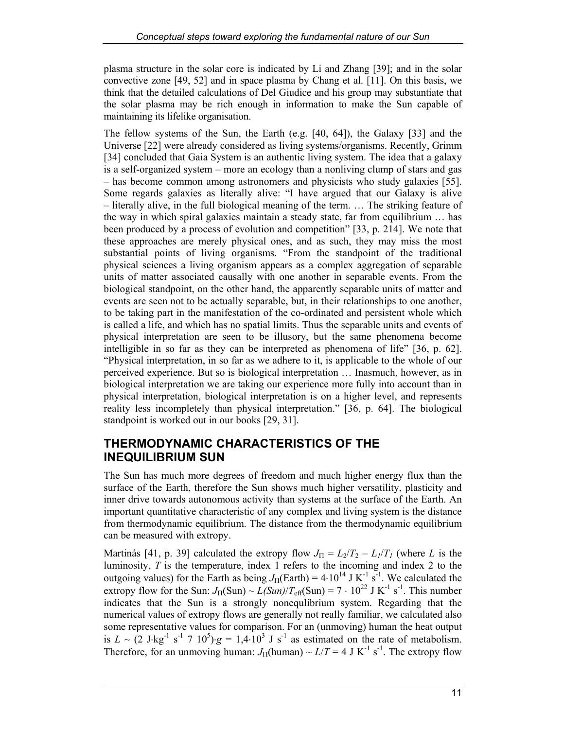plasma structure in the solar core is indicated by Li and Zhang [39]; and in the solar convective zone [49, 52] and in space plasma by Chang et al. [11]. On this basis, we think that the detailed calculations of Del Giudice and his group may substantiate that the solar plasma may be rich enough in information to make the Sun capable of maintaining its lifelike organisation.

The fellow systems of the Sun, the Earth (e.g. [40, 64]), the Galaxy [33] and the Universe [22] were already considered as living systems/organisms. Recently, Grimm [34] concluded that Gaia System is an authentic living system. The idea that a galaxy is a self-organized system – more an ecology than a nonliving clump of stars and gas – has become common among astronomers and physicists who study galaxies [55]. Some regards galaxies as literally alive: "I have argued that our Galaxy is alive – literally alive, in the full biological meaning of the term. … The striking feature of the way in which spiral galaxies maintain a steady state, far from equilibrium … has been produced by a process of evolution and competition" [33, p. 214]. We note that these approaches are merely physical ones, and as such, they may miss the most substantial points of living organisms. "From the standpoint of the traditional physical sciences a living organism appears as a complex aggregation of separable units of matter associated causally with one another in separable events. From the biological standpoint, on the other hand, the apparently separable units of matter and events are seen not to be actually separable, but, in their relationships to one another, to be taking part in the manifestation of the co-ordinated and persistent whole which is called a life, and which has no spatial limits. Thus the separable units and events of physical interpretation are seen to be illusory, but the same phenomena become intelligible in so far as they can be interpreted as phenomena of life" [36, p. 62]. "Physical interpretation, in so far as we adhere to it, is applicable to the whole of our perceived experience. But so is biological interpretation … Inasmuch, however, as in biological interpretation we are taking our experience more fully into account than in physical interpretation, biological interpretation is on a higher level, and represents reality less incompletely than physical interpretation." [36, p. 64]. The biological standpoint is worked out in our books [29, 31].

## **THERMODYNAMIC CHARACTERISTICS OF THE INEQUILIBRIUM SUN**

The Sun has much more degrees of freedom and much higher energy flux than the surface of the Earth, therefore the Sun shows much higher versatility, plasticity and inner drive towards autonomous activity than systems at the surface of the Earth. An important quantitative characteristic of any complex and living system is the distance from thermodynamic equilibrium. The distance from the thermodynamic equilibrium can be measured with extropy.

Martinás [41, p. 39] calculated the extropy flow  $J_{\Pi} = L_2/T_2 - L_1/T_1$  (where *L* is the luminosity, *T* is the temperature, index 1 refers to the incoming and index 2 to the outgoing values) for the Earth as being  $J_{\Pi}(\text{Earth}) = 4.10^{14} \text{ J K}^{-1} \text{ s}^{-1}$ . We calculated the extropy flow for the Sun:  $J_{\Pi}(\text{Sun}) \sim L(\text{Sun})/T_{\text{eff}}(\text{Sun}) = 7 \cdot 10^{22} \text{ J K}^{-1} \text{ s}^{-1}$ . This number indicates that the Sun is a strongly nonequlibrium system. Regarding that the numerical values of extropy flows are generally not really familiar, we calculated also some representative values for comparison. For an (unmoving) human the heat output is  $L \sim (2 \text{ J} \cdot \text{kg}^{-1} \text{ s}^{-1} \text{ 7 } 10^5) \cdot g = 1,4 \cdot 10^3 \text{ J s}^{-1}$  as estimated on the rate of metabolism. Therefore, for an unmoving human:  $J_{\Pi}$ (human) ~  $L/T = 4$  J K<sup>-1</sup> s<sup>-1</sup>. The extropy flow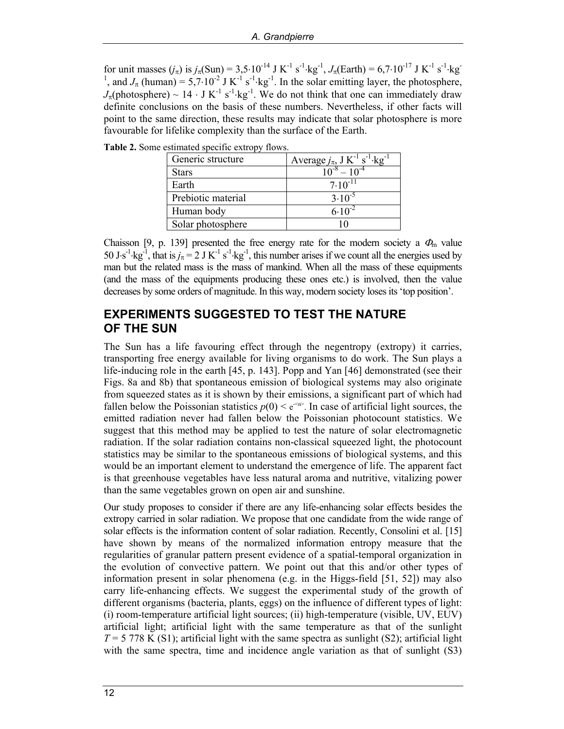for unit masses  $(j_{\pi})$  is  $j_{\pi}(\text{Sun}) = 3{,}5{\cdot}10^{-14}$  J K<sup>-1</sup> s<sup>-1</sup>·kg<sup>-1</sup>,  $J_{\pi}(\text{Earth}) = 6{,}7{\cdot}10^{-17}$  J K<sup>-1</sup> s<sup>-1</sup>·kg<sup>-1</sup>, and  $J_{\pi}$  (human) = 5,7·10<sup>-2</sup> J K<sup>-1</sup> s<sup>-1</sup>·kg<sup>-1</sup>. In the solar emitting layer, the phot  $J_\pi$ (photosphere) ~ 14 ⋅ J K<sup>-1</sup> s<sup>-1</sup>⋅kg<sup>-1</sup>. We do not think that one can immediately draw definite conclusions on the basis of these numbers. Nevertheless, if other facts will point to the same direction, these results may indicate that solar photosphere is more favourable for lifelike complexity than the surface of the Earth.

**Table 2.** Some estimated specific extropy flows.

| Generic structure  | Average $j_{\pi}$ , J K <sup>-1</sup> s <sup>-1</sup> ·kg <sup>-1</sup> |  |
|--------------------|-------------------------------------------------------------------------|--|
| Stars              |                                                                         |  |
| Earth              | $7.10^{-11}$                                                            |  |
| Prebiotic material | $3.10^{-5}$                                                             |  |
| Human body         | $6.10^{-7}$                                                             |  |
| Solar photosphere  |                                                                         |  |

Chaisson [9, p. 139] presented the free energy rate for the modern society a  $\Phi_{\rm m}$  value 50 J⋅s<sup>-1</sup>⋅kg<sup>-1</sup>, that is  $j_\pi$  = 2 J K<sup>-1</sup> s<sup>-1</sup>⋅kg<sup>-1</sup>, this number arises if we count all the energies used by man but the related mass is the mass of mankind. When all the mass of these equipments (and the mass of the equipments producing these ones etc.) is involved, then the value decreases by some orders of magnitude. In this way, modern society loses its 'top position'.

#### **EXPERIMENTS SUGGESTED TO TEST THE NATURE OF THE SUN**

The Sun has a life favouring effect through the negentropy (extropy) it carries, transporting free energy available for living organisms to do work. The Sun plays a life-inducing role in the earth [45, p. 143]. Popp and Yan [46] demonstrated (see their Figs. 8a and 8b) that spontaneous emission of biological systems may also originate from squeezed states as it is shown by their emissions, a significant part of which had fallen below the Poissonian statistics  $p(0) < e^{2\pi i/2}$ . In case of artificial light sources, the emitted radiation never had fallen below the Poissonian photocount statistics. We suggest that this method may be applied to test the nature of solar electromagnetic radiation. If the solar radiation contains non-classical squeezed light, the photocount statistics may be similar to the spontaneous emissions of biological systems, and this would be an important element to understand the emergence of life. The apparent fact is that greenhouse vegetables have less natural aroma and nutritive, vitalizing power than the same vegetables grown on open air and sunshine.

Our study proposes to consider if there are any life-enhancing solar effects besides the extropy carried in solar radiation. We propose that one candidate from the wide range of solar effects is the information content of solar radiation. Recently, Consolini et al. [15] have shown by means of the normalized information entropy measure that the regularities of granular pattern present evidence of a spatial-temporal organization in the evolution of convective pattern. We point out that this and/or other types of information present in solar phenomena (e.g. in the Higgs-field  $[51, 52]$ ) may also carry life-enhancing effects. We suggest the experimental study of the growth of different organisms (bacteria, plants, eggs) on the influence of different types of light: (i) room-temperature artificial light sources; (ii) high-temperature (visible, UV, EUV) artificial light; artificial light with the same temperature as that of the sunlight  $T = 5778$  K (S1); artificial light with the same spectra as sunlight (S2); artificial light with the same spectra, time and incidence angle variation as that of sunlight (S3)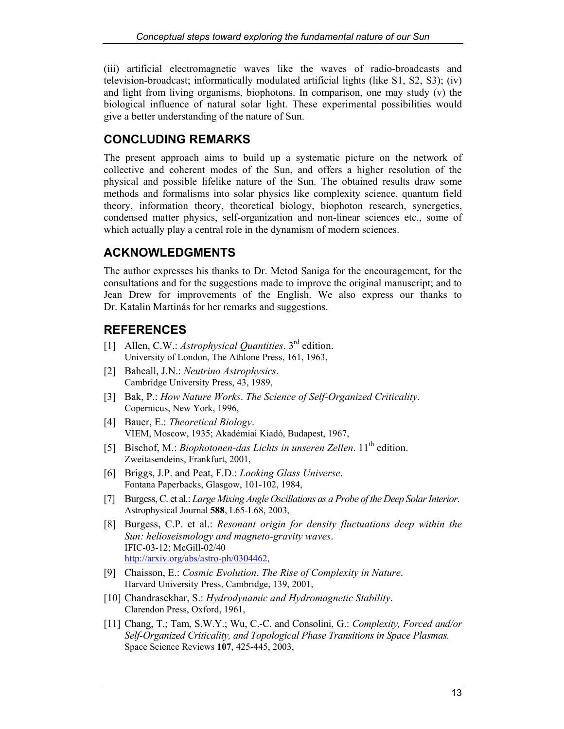(iii) artificial electromagnetic waves like the waves of radio-broadcasts and television-broadcast; informatically modulated artificial lights (like S1, S2, S3); (iv) and light from living organisms, biophotons. In comparison, one may study (v) the biological influence of natural solar light. These experimental possibilities would give a better understanding of the nature of Sun.

## **CONCLUDING REMARKS**

The present approach aims to build up a systematic picture on the network of collective and coherent modes of the Sun, and offers a higher resolution of the physical and possible lifelike nature of the Sun. The obtained results draw some methods and formalisms into solar physics like complexity science, quantum field theory, information theory, theoretical biology, biophoton research, synergetics, condensed matter physics, self-organization and non-linear sciences etc., some of which actually play a central role in the dynamism of modern sciences.

# **ACKNOWLEDGMENTS**

The author expresses his thanks to Dr. Metod Saniga for the encouragement, for the consultations and for the suggestions made to improve the original manuscript; and to Jean Drew for improvements of the English. We also express our thanks to Dr. Katalin Martinás for her remarks and suggestions.

# **REFERENCES**

- [1] Allen, C.W.: *Astrophysical Quantities*. 3rd edition. University of London, The Athlone Press, 161, 1963,
- [2] Bahcall, J.N.: *Neutrino Astrophysics*. Cambridge University Press, 43, 1989,
- [3] Bak, P.: *How Nature Works*. *The Science of Self-Organized Criticality*. Copernicus, New York, 1996,
- [4] Bauer, E.: *Theoretical Biology*. VIEM, Moscow, 1935; Akadémiai Kiadó, Budapest, 1967,
- [5] Bischof, M.: *Biophotonen-das Lichts in unseren Zellen*. 11<sup>th</sup> edition. Zweitasendeins, Frankfurt, 2001,
- [6] Briggs, J.P. and Peat, F.D.: *Looking Glass Universe*. Fontana Paperbacks, Glasgow, 101-102, 1984,
- [7] Burgess, C. et al.: *Large Mixing Angle Oscillations as a Probe of the Deep Solar Interior*. Astrophysical Journal **588**, L65-L68, 2003,
- [8] Burgess, C.P. et al.: *Resonant origin for density fluctuations deep within the Sun: helioseismology and magneto-gravity waves*. IFIC-03-12; McGill-02/40 [http://arxiv.org/abs/astro-ph/0304462,](http://arxiv.org/abs/astro-ph/0304462)
- [9] Chaisson, E.: *Cosmic Evolution*. *The Rise of Complexity in Nature*. Harvard University Press, Cambridge, 139, 2001,
- [10] Chandrasekhar, S.: *Hydrodynamic and Hydromagnetic Stability*. Clarendon Press, Oxford, 1961,
- [11] Chang, T.; Tam, S.W.Y.; Wu, C.-C. and Consolini, G.: *Complexity, Forced and/or Self-Organized Criticality, and Topological Phase Transitions in Space Plasmas.* Space Science Reviews **107**, 425-445, 2003,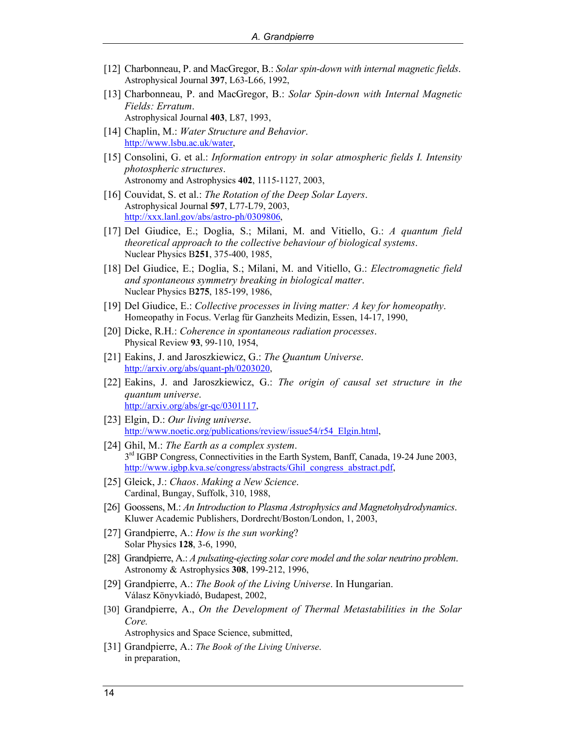- [12] Charbonneau, P. and MacGregor, B.: *Solar spin-down with internal magnetic fields*. Astrophysical Journal **397**, L63-L66, 1992,
- [13] Charbonneau, P. and MacGregor, B.: *Solar Spin-down with Internal Magnetic Fields: Erratum*. Astrophysical Journal **403**, L87, 1993,
- [14] Chaplin, M.: *Water Structure and Behavior*. [http://www.lsbu.ac.uk/water,](http://www.lsbu.ac.uk/water)
- [15] Consolini, G. et al.: *Information entropy in solar atmospheric fields I. Intensity photospheric structures*. Astronomy and Astrophysics **402**, 1115-1127, 2003,
- [16] Couvidat, S. et al.: *The Rotation of the Deep Solar Layers*. Astrophysical Journal **597**, L77-L79, 2003, [http://xxx.lanl.gov/abs/astro-ph/0309806,](http://xxx.lanl.gov/abs/astro-ph/0309806)
- [17] Del Giudice, E.; Doglia, S.; Milani, M. and Vitiello, G.: *A quantum field theoretical approach to the collective behaviour of biological systems*. Nuclear Physics B**251**, 375-400, 1985,
- [18] Del Giudice, E.; Doglia, S.; Milani, M. and Vitiello, G.: *Electromagnetic field and spontaneous symmetry breaking in biological matter*. Nuclear Physics B**275**, 185-199, 1986,
- [19] Del Giudice, E.: *Collective processes in living matter: A key for homeopathy*. Homeopathy in Focus. Verlag für Ganzheits Medizin, Essen, 14-17, 1990,
- [20] Dicke, R.H.: *Coherence in spontaneous radiation processes*. Physical Review **93**, 99-110, 1954,
- [21] Eakins, J. and Jaroszkiewicz, G.: *The Quantum Universe*. [http://arxiv.org/abs/quant-ph/0203020,](http://arxiv.org/abs/quant-ph/0203020)
- [22] Eakins, J. and Jaroszkiewicz, G.: *The origin of causal set structure in the quantum universe*. [http://arxiv.org/abs/gr-qc/0301117,](http://arxiv.org/abs/gr-qc/0301117)
- [23] Elgin, D.: *Our living universe*. [http://www.noetic.org/publications/review/issue54/r54\\_Elgin.html,](http://www.noetic.org/publications/review/issue54/r54_Elgin.html)
- [24] Ghil, M.: *The Earth as a complex system*. 3rd IGBP Congress, Connectivities in the Earth System, Banff, Canada, 19-24 June 2003, [http://www.igbp.kva.se/congress/abstracts/Ghil\\_congress\\_abstract.pdf,](http://www.igbp.kva.se/congress/abstracts/Ghil_congress_abstract.pdf)
- [25] Gleick, J.: *Chaos*. *Making a New Science*. Cardinal, Bungay, Suffolk, 310, 1988,
- [26] Goossens, M.: *An Introduction to Plasma Astrophysics and Magnetohydrodynamics*. Kluwer Academic Publishers, Dordrecht/Boston/London, 1, 2003,
- [27] Grandpierre, A.: *How is the sun working*? Solar Physics **128**, 3-6, 1990,
- [28] Grandpierre, A.: *A pulsating-ejecting solar core model and the solar neutrino problem*. Astronomy & Astrophysics **308**, 199-212, 1996,
- [29] Grandpierre, A.: *The Book of the Living Universe*. In Hungarian. Válasz Könyvkiadó, Budapest, 2002,
- [30] Grandpierre, A., *On the Development of Thermal Metastabilities in the Solar Core.* Astrophysics and Space Science, submitted,
- [31] Grandpierre, A.: *The Book of the Living Universe*. in preparation,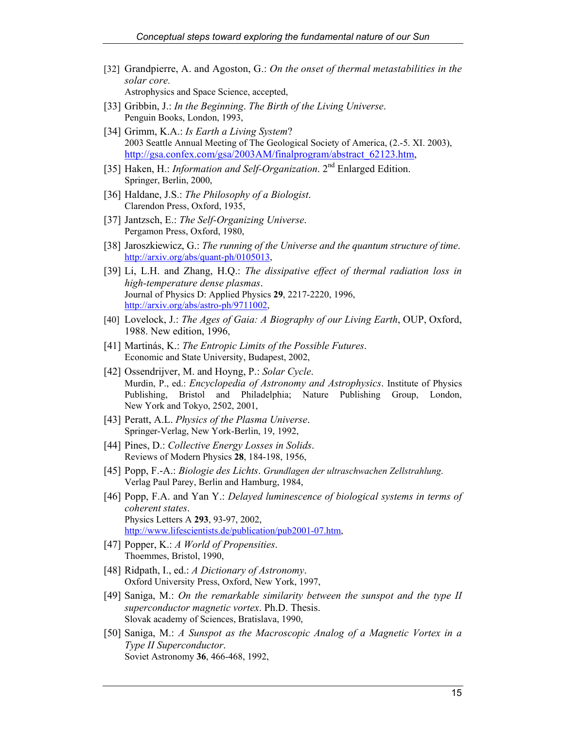- [32] Grandpierre, A. and Agoston, G.: *On the onset of thermal metastabilities in the solar core.* Astrophysics and Space Science, accepted,
- [33] Gribbin, J.: *In the Beginning*. *The Birth of the Living Universe*. Penguin Books, London, 1993,
- [34] Grimm, K.A.: *Is Earth a Living System*? 2003 Seattle Annual Meeting of The Geological Society of America, (2.-5. XI. 2003), [http://gsa.confex.com/gsa/2003AM/finalprogram/abstract\\_62123.htm,](http://gsa.confex.com/gsa/2003AM/finalprogram/abstract_62123.htm)
- [35] Haken, H.: *Information and Self-Organization*. 2<sup>nd</sup> Enlarged Edition. Springer, Berlin, 2000,
- [36] Haldane, J.S.: *The Philosophy of a Biologist*. Clarendon Press, Oxford, 1935,
- [37] Jantzsch, E.: *The Self-Organizing Universe*. Pergamon Press, Oxford, 1980,
- [38] Jaroszkiewicz, G.: *The running of the Universe and the quantum structure of time*. [http://arxiv.org/abs/quant-ph/0105013,](http://arxiv.org/abs/quant-ph/0105013)
- [39] Li, L.H. and Zhang, H.Q.: *The dissipative effect of thermal radiation loss in high-temperature dense plasmas*. Journal of Physics D: Applied Physics **29**, 2217-2220, 1996, [http://arxiv.org/abs/astro-ph/9711002,](http://arxiv.org/abs/astro-ph/9711002)
- [40] Lovelock, J.: *The Ages of Gaia: A Biography of our Living Earth*, OUP, Oxford, 1988. New edition, 1996,
- [41] Martinás, K.: *The Entropic Limits of the Possible Futures*. Economic and State University, Budapest, 2002,
- [42] Ossendrijver, M. and Hoyng, P.: *Solar Cycle*. Murdin, P., ed.: *Encyclopedia of Astronomy and Astrophysics*. Institute of Physics Publishing, Bristol and Philadelphia; Nature Publishing Group, London, New York and Tokyo, 2502, 2001,
- [43] Peratt, A.L. *Physics of the Plasma Universe*. Springer-Verlag, New York-Berlin, 19, 1992,
- [44] Pines, D.: *Collective Energy Losses in Solids*. Reviews of Modern Physics **28**, 184-198, 1956,
- [45] Popp, F.-A.: *Biologie des Lichts*. *Grundlagen der ultraschwachen Zellstrahlung*. Verlag Paul Parey, Berlin and Hamburg, 1984,
- [46] Popp, F.A. and Yan Y.: *Delayed luminescence of biological systems in terms of coherent states*. Physics Letters A **293**, 93-97, 2002, [http://www.lifescientists.de/publication/pub2001-07.htm,](http://www.lifescientists.de/publication/pub2001-07.htm)
- [47] Popper, K.: *A World of Propensities*. Thoemmes, Bristol, 1990,
- [48] Ridpath, I., ed.: *A Dictionary of Astronomy*. Oxford University Press, Oxford, New York, 1997,
- [49] Saniga, M.: *On the remarkable similarity between the sunspot and the type II superconductor magnetic vortex*. Ph.D. Thesis. Slovak academy of Sciences, Bratislava, 1990,
- [50] Saniga, M.: *A Sunspot as the Macroscopic Analog of a Magnetic Vortex in a Type II Superconductor*. Soviet Astronomy **36**, 466-468, 1992,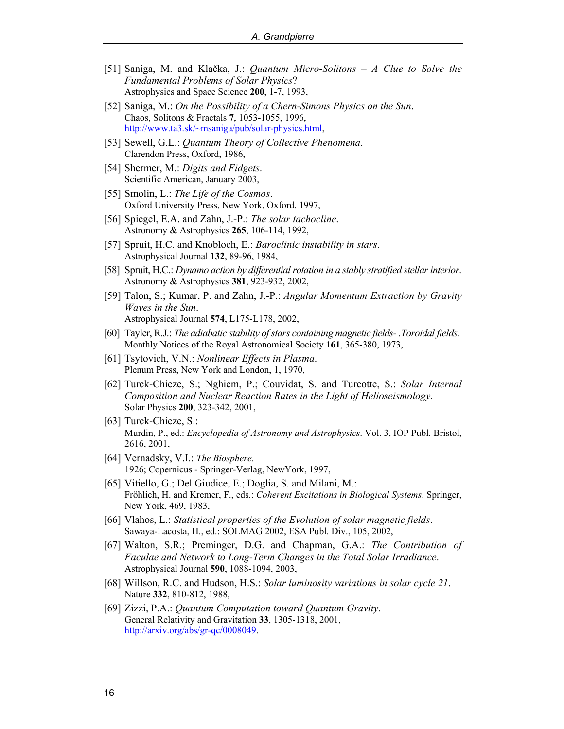- [51] Saniga, M. and Klačka, J.: *Quantum Micro-Solitons A Clue to Solve the Fundamental Problems of Solar Physics*? Astrophysics and Space Science **200**, 1-7, 1993,
- [52] Saniga, M.: *On the Possibility of a Chern-Simons Physics on the Sun*. Chaos, Solitons & Fractals **7**, 1053-1055, 1996, [http://www.ta3.sk/~msaniga/pub/solar-physics.html,](http://www.ta3.sk/~msaniga/pub/solar-physics.html)
- [53] Sewell, G.L.: *Quantum Theory of Collective Phenomena*. Clarendon Press, Oxford, 1986,
- [54] Shermer, M.: *Digits and Fidgets*. Scientific American, January 2003,
- [55] Smolin, L.: *The Life of the Cosmos*. Oxford University Press, New York, Oxford, 1997,
- [56] Spiegel, E.A. and Zahn, J.-P.: *The solar tachocline*. Astronomy & Astrophysics **265**, 106-114, 1992,
- [57] Spruit, H.C. and Knobloch, E.: *Baroclinic instability in stars*. Astrophysical Journal **132**, 89-96, 1984,
- [58] Spruit, H.C.: *Dynamo action by differential rotation in a stably stratified stellar interior*. Astronomy & Astrophysics **381**, 923-932, 2002,
- [59] Talon, S.; Kumar, P. and Zahn, J.-P.: *Angular Momentum Extraction by Gravity Waves in the Sun*. Astrophysical Journal **574**, L175-L178, 2002,
- [60] Tayler, R.J.: *The adiabatic stability of stars containing magnetic fields- .Toroidal fields*. Monthly Notices of the Royal Astronomical Society **161**, 365-380, 1973,
- [61] Tsytovich, V.N.: *Nonlinear Effects in Plasma*. Plenum Press, New York and London, 1, 1970,
- [62] Turck-Chieze, S.; Nghiem, P.; Couvidat, S. and Turcotte, S.: *Solar Internal Composition and Nuclear Reaction Rates in the Light of Helioseismology*. Solar Physics **200**, 323-342, 2001,
- [63] Turck-Chieze, S.: Murdin, P., ed.: *Encyclopedia of Astronomy and Astrophysics*. Vol. 3, IOP Publ. Bristol, 2616, 2001,
- [64] Vernadsky, V.I.: *The Biosphere*. 1926; Copernicus - Springer-Verlag, NewYork, 1997,
- [65] Vitiello, G.; Del Giudice, E.; Doglia, S. and Milani, M.: Fröhlich, H. and Kremer, F., eds.: *Coherent Excitations in Biological Systems*. Springer, New York, 469, 1983,
- [66] Vlahos, L.: *Statistical properties of the Evolution of solar magnetic fields*. Sawaya-Lacosta, H., ed.: SOLMAG 2002, ESA Publ. Div., 105, 2002,
- [67] Walton, S.R.; Preminger, D.G. and Chapman, G.A.: *The Contribution of Faculae and Network to Long-Term Changes in the Total Solar Irradiance*. Astrophysical Journal **590**, 1088-1094, 2003,
- [68] Willson, R.C. and Hudson, H.S.: *Solar luminosity variations in solar cycle 21*. Nature **332**, 810-812, 1988,
- [69] Zizzi, P.A.: *Quantum Computation toward Quantum Gravity*. General Relativity and Gravitation **33**, 1305-1318, 2001, [http://arxiv.org/abs/gr-qc/0008049.](http://arxiv.org/abs/gr-qc/0008049)